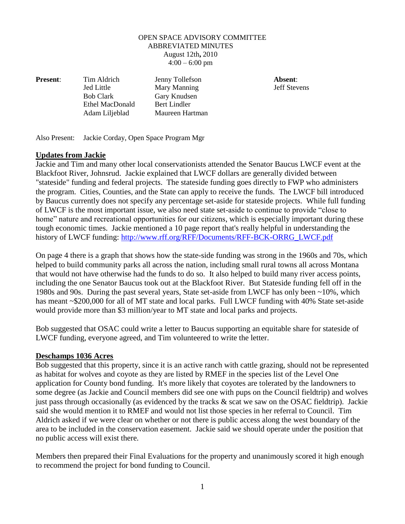#### OPEN SPACE ADVISORY COMMITTEE ABBREVIATED MINUTES August 12th**,** 2010  $4:00 - 6:00$  pm

**Present**: Tim Aldrich Jenny Tollefson **Absent**:

Jed Little Mary Manning Jeff Stevens Bob Clark Gary Knudsen Ethel MacDonald Bert Lindler Adam Liljeblad Maureen Hartman

Also Present: Jackie Corday, Open Space Program Mgr

### **Updates from Jackie**

Jackie and Tim and many other local conservationists attended the Senator Baucus LWCF event at the Blackfoot River, Johnsrud. Jackie explained that LWCF dollars are generally divided between "stateside" funding and federal projects. The stateside funding goes directly to FWP who administers the program. Cities, Counties, and the State can apply to receive the funds. The LWCF bill introduced by Baucus currently does not specify any percentage set-aside for stateside projects. While full funding of LWCF is the most important issue, we also need state set-aside to continue to provide "close to home" nature and recreational opportunities for our citizens, which is especially important during these tough economic times. Jackie mentioned a 10 page report that's really helpful in understanding the history of LWCF funding: [http://www.rff.org/RFF/Documents/RFF-BCK-ORRG\\_LWCF.pdf](http://www.rff.org/RFF/Documents/RFF-BCK-ORRG_LWCF.pdf)

On page 4 there is a graph that shows how the state-side funding was strong in the 1960s and 70s, which helped to build community parks all across the nation, including small rural towns all across Montana that would not have otherwise had the funds to do so. It also helped to build many river access points, including the one Senator Baucus took out at the Blackfoot River. But Stateside funding fell off in the 1980s and 90s. During the past several years, State set-aside from LWCF has only been ~10%, which has meant ~\$200,000 for all of MT state and local parks. Full LWCF funding with 40% State set-aside would provide more than \$3 million/year to MT state and local parks and projects.

Bob suggested that OSAC could write a letter to Baucus supporting an equitable share for stateside of LWCF funding, everyone agreed, and Tim volunteered to write the letter.

### **Deschamps 1036 Acres**

Bob suggested that this property, since it is an active ranch with cattle grazing, should not be represented as habitat for wolves and coyote as they are listed by RMEF in the species list of the Level One application for County bond funding. It's more likely that coyotes are tolerated by the landowners to some degree (as Jackie and Council members did see one with pups on the Council fieldtrip) and wolves just pass through occasionally (as evidenced by the tracks & scat we saw on the OSAC fieldtrip). Jackie said she would mention it to RMEF and would not list those species in her referral to Council. Tim Aldrich asked if we were clear on whether or not there is public access along the west boundary of the area to be included in the conservation easement. Jackie said we should operate under the position that no public access will exist there.

Members then prepared their Final Evaluations for the property and unanimously scored it high enough to recommend the project for bond funding to Council.